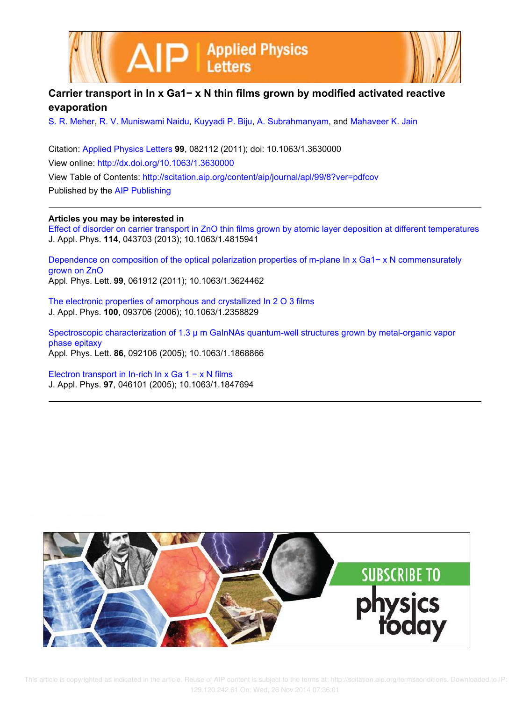



## **Carrier transport in In x Ga1− x N thin films grown by modified activated reactive evaporation**

S. R. Meher, R. V. Muniswami Naidu, Kuyyadi P. Biju, A. Subrahmanyam, and Mahaveer K. Jain

Citation: Applied Physics Letters **99**, 082112 (2011); doi: 10.1063/1.3630000 View online: http://dx.doi.org/10.1063/1.3630000 View Table of Contents: http://scitation.aip.org/content/aip/journal/apl/99/8?ver=pdfcov Published by the AIP Publishing

**Articles you may be interested in**

Effect of disorder on carrier transport in ZnO thin films grown by atomic layer deposition at different temperatures J. Appl. Phys. **114**, 043703 (2013); 10.1063/1.4815941

Dependence on composition of the optical polarization properties of m-plane In x Ga1− x N commensurately grown on ZnO Appl. Phys. Lett. **99**, 061912 (2011); 10.1063/1.3624462

The electronic properties of amorphous and crystallized In 2 O 3 films J. Appl. Phys. **100**, 093706 (2006); 10.1063/1.2358829

Spectroscopic characterization of 1.3 μ m GaInNAs quantum-well structures grown by metal-organic vapor phase epitaxy Appl. Phys. Lett. **86**, 092106 (2005); 10.1063/1.1868866

Electron transport in In-rich In x Ga 1 − x N films J. Appl. Phys. **97**, 046101 (2005); 10.1063/1.1847694



 This article is copyrighted as indicated in the article. Reuse of AIP content is subject to the terms at: http://scitation.aip.org/termsconditions. Downloaded to IP: 129.120.242.61 On: Wed, 26 Nov 2014 07:36:01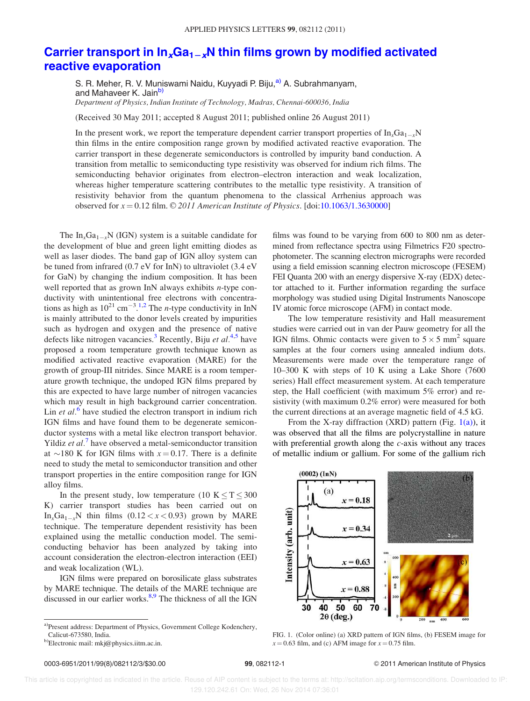## Carrier transport in  $\ln_{x}Ga_{1-x}N$  thin films grown by modified activated reactive evaporation

S. R. Meher, R. V. Muniswami Naidu, Kuyyadi P. Biju,<sup>a)</sup> A. Subrahmanyam, and Mahaveer K. Jainb)

Department of Physics, Indian Institute of Technology, Madras, Chennai-600036, India

(Received 30 May 2011; accepted 8 August 2011; published online 26 August 2011)

In the present work, we report the temperature dependent carrier transport properties of  $\text{In}_x\text{Ga}_{1-x}\text{N}$ thin films in the entire composition range grown by modified activated reactive evaporation. The carrier transport in these degenerate semiconductors is controlled by impurity band conduction. A transition from metallic to semiconducting type resistivity was observed for indium rich films. The semiconducting behavior originates from electron–electron interaction and weak localization, whereas higher temperature scattering contributes to the metallic type resistivity. A transition of resistivity behavior from the quantum phenomena to the classical Arrhenius approach was observed for  $x = 0.12$  film.  $\odot$  2011 American Institute of Physics. [doi:10.1063/1.3630000]

The  $\text{In}_x\text{Ga}_{1-x}\text{N}$  (IGN) system is a suitable candidate for the development of blue and green light emitting diodes as well as laser diodes. The band gap of IGN alloy system can be tuned from infrared (0.7 eV for InN) to ultraviolet (3.4 eV for GaN) by changing the indium composition. It has been well reported that as grown InN always exhibits *n*-type conductivity with unintentional free electrons with concentrations as high as  $10^{21}$  cm<sup>-3,1,2</sup> The *n*-type conductivity in InN is mainly attributed to the donor levels created by impurities such as hydrogen and oxygen and the presence of native defects like nitrogen vacancies.<sup>3</sup> Recently, Biju et al.<sup>4,5</sup> have proposed a room temperature growth technique known as modified activated reactive evaporation (MARE) for the growth of group-III nitrides. Since MARE is a room temperature growth technique, the undoped IGN films prepared by this are expected to have large number of nitrogen vacancies which may result in high background carrier concentration. Lin et  $al$ <sup>6</sup> have studied the electron transport in indium rich IGN films and have found them to be degenerate semiconductor systems with a metal like electron transport behavior. Yildiz *et al.*<sup>7</sup> have observed a metal-semiconductor transition at  $\sim$ 180 K for IGN films with  $x = 0.17$ . There is a definite need to study the metal to semiconductor transition and other transport properties in the entire composition range for IGN alloy films.

In the present study, low temperature (10 K  $\leq$  T  $\leq$  300 K) carrier transport studies has been carried out on In<sub>x</sub>Ga<sub>1-x</sub>N thin films  $(0.12 < x < 0.93)$  grown by MARE technique. The temperature dependent resistivity has been explained using the metallic conduction model. The semiconducting behavior has been analyzed by taking into account consideration the electron-electron interaction (EEI) and weak localization (WL).

IGN films were prepared on borosilicate glass substrates by MARE technique. The details of the MARE technique are discussed in our earlier works.<sup>8,9</sup> The thickness of all the IGN

films was found to be varying from 600 to 800 nm as determined from reflectance spectra using Filmetrics F20 spectrophotometer. The scanning electron micrographs were recorded using a field emission scanning electron microscope (FESEM) FEI Quanta 200 with an energy dispersive X-ray (EDX) detector attached to it. Further information regarding the surface morphology was studied using Digital Instruments Nanoscope IV atomic force microscope (AFM) in contact mode.

The low temperature resistivity and Hall measurement studies were carried out in van der Pauw geometry for all the IGN films. Ohmic contacts were given to  $5 \times 5$  mm<sup>2</sup> square samples at the four corners using annealed indium dots. Measurements were made over the temperature range of 10–300 K with steps of 10 K using a Lake Shore (7600 series) Hall effect measurement system. At each temperature step, the Hall coefficient (with maximum 5% error) and resistivity (with maximum 0.2% error) were measured for both the current directions at an average magnetic field of 4.5 kG.

From the X-ray diffraction (XRD) pattern (Fig.  $1(a)$ ), it was observed that all the films are polycrystalline in nature with preferential growth along the *c*-axis without any traces of metallic indium or gallium. For some of the gallium rich



FIG. 1. (Color online) (a) XRD pattern of IGN films, (b) FESEM image for  $x = 0.63$  film, and (c) AFM image for  $x = 0.75$  film.

## 0003-6951/2011/99(8)/082112/3/\$30.00 99, 082112-1 © 2011 American Institute of Physics

 This article is copyrighted as indicated in the article. Reuse of AIP content is subject to the terms at: http://scitation.aip.org/termsconditions. Downloaded to IP: 129.120.242.61 On: Wed, 26 Nov 2014 07:36:01

a)Present address: Department of Physics, Government College Kodenchery, Calicut-673580, India.

b)Electronic mail: mkj@physics.iitm.ac.in.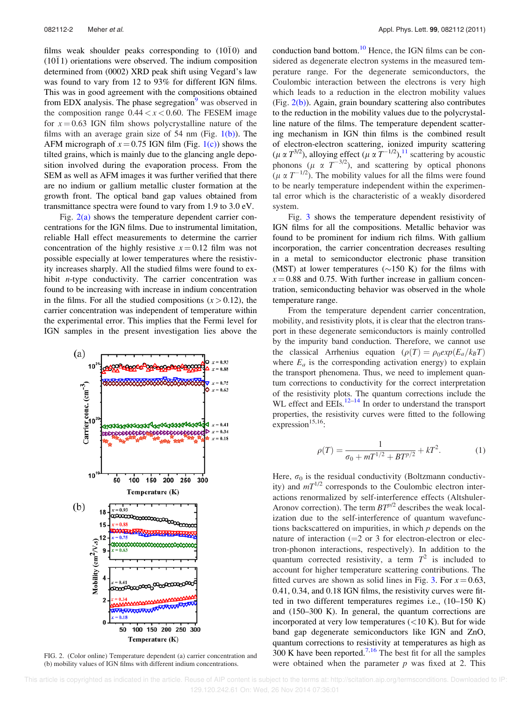films weak shoulder peaks corresponding to  $(10\bar{1}0)$  and  $(10\bar{1}1)$  orientations were observed. The indium composition determined from (0002) XRD peak shift using Vegard's law was found to vary from 12 to 93% for different IGN films. This was in good agreement with the compositions obtained from EDX analysis. The phase segregation<sup>9</sup> was observed in the composition range  $0.44 < x < 0.60$ . The FESEM image for  $x = 0.63$  IGN film shows polycrystalline nature of the films with an average grain size of  $54 \text{ nm}$  (Fig. 1(b)). The AFM micrograph of  $x = 0.75$  IGN film (Fig. 1(c)) shows the tilted grains, which is mainly due to the glancing angle deposition involved during the evaporation process. From the SEM as well as AFM images it was further verified that there are no indium or gallium metallic cluster formation at the growth front. The optical band gap values obtained from transmittance spectra were found to vary from 1.9 to 3.0 eV.

Fig.  $2(a)$  shows the temperature dependent carrier concentrations for the IGN films. Due to instrumental limitation, reliable Hall effect measurements to determine the carrier concentration of the highly resistive  $x = 0.12$  film was not possible especially at lower temperatures where the resistivity increases sharply. All the studied films were found to exhibit  $n$ -type conductivity. The carrier concentration was found to be increasing with increase in indium concentration in the films. For all the studied compositions  $(x > 0.12)$ , the carrier concentration was independent of temperature within the experimental error. This implies that the Fermi level for IGN samples in the present investigation lies above the



FIG. 2. (Color online) Temperature dependent (a) carrier concentration and (b) mobility values of IGN films with different indium concentrations.

conduction band bottom. $10$  Hence, the IGN films can be considered as degenerate electron systems in the measured temperature range. For the degenerate semiconductors, the Coulombic interaction between the electrons is very high which leads to a reduction in the electron mobility values (Fig.  $2(b)$ ). Again, grain boundary scattering also contributes to the reduction in the mobility values due to the polycrystalline nature of the films. The temperature dependent scattering mechanism in IGN thin films is the combined result of electron-electron scattering, ionized impurity scattering  $(\mu \propto T^{3/2})$ , alloying effect  $(\mu \propto T^{-1/2})$ , <sup>11</sup> scattering by acoustic phonons ( $\mu \propto T^{-3/2}$ ), and scattering by optical phonons  $(\mu \propto T^{-1/2})$ . The mobility values for all the films were found to be nearly temperature independent within the experimental error which is the characteristic of a weakly disordered system.

Fig. 3 shows the temperature dependent resistivity of IGN films for all the compositions. Metallic behavior was found to be prominent for indium rich films. With gallium incorporation, the carrier concentration decreases resulting in a metal to semiconductor electronic phase transition (MST) at lower temperatures ( $\sim$ 150 K) for the films with  $x = 0.88$  and 0.75. With further increase in gallium concentration, semiconducting behavior was observed in the whole temperature range.

From the temperature dependent carrier concentration, mobility, and resistivity plots, it is clear that the electron transport in these degenerate semiconductors is mainly controlled by the impurity band conduction. Therefore, we cannot use the classical Arrhenius equation  $(\rho(T) = \rho_0 exp(E_a / k_B T))$ where  $E_a$  is the corresponding activation energy) to explain the transport phenomena. Thus, we need to implement quantum corrections to conductivity for the correct interpretation of the resistivity plots. The quantum corrections include the WL effect and  $EEIs.<sup>12-14</sup>$  In order to understand the transport properties, the resistivity curves were fitted to the following  $expression<sup>15,16</sup>$ :

$$
\rho(T) = \frac{1}{\sigma_0 + mT^{1/2} + BT^{p/2}} + kT^2.
$$
 (1)

Here,  $\sigma_0$  is the residual conductivity (Boltzmann conductivity) and  $mT^{1/2}$  corresponds to the Coulombic electron interactions renormalized by self-interference effects (Altshuler-Aronov correction). The term  $BT^{p/2}$  describes the weak localization due to the self-interference of quantum wavefunctions backscattered on impurities, in which  $p$  depends on the nature of interaction  $(=2 \text{ or } 3 \text{ for electron-electron or electron})$ tron-phonon interactions, respectively). In addition to the quantum corrected resistivity, a term  $T^2$  is included to account for higher temperature scattering contributions. The fitted curves are shown as solid lines in Fig. 3. For  $x = 0.63$ , 0.41, 0.34, and 0.18 IGN films, the resistivity curves were fitted in two different temperatures regimes i.e., (10–150 K) and (150–300 K). In general, the quantum corrections are incorporated at very low temperatures  $(<10 K)$ . But for wide band gap degenerate semiconductors like IGN and ZnO, quantum corrections to resistivity at temperatures as high as 300 K have been reported.<sup>7,16</sup> The best fit for all the samples were obtained when the parameter  $p$  was fixed at 2. This